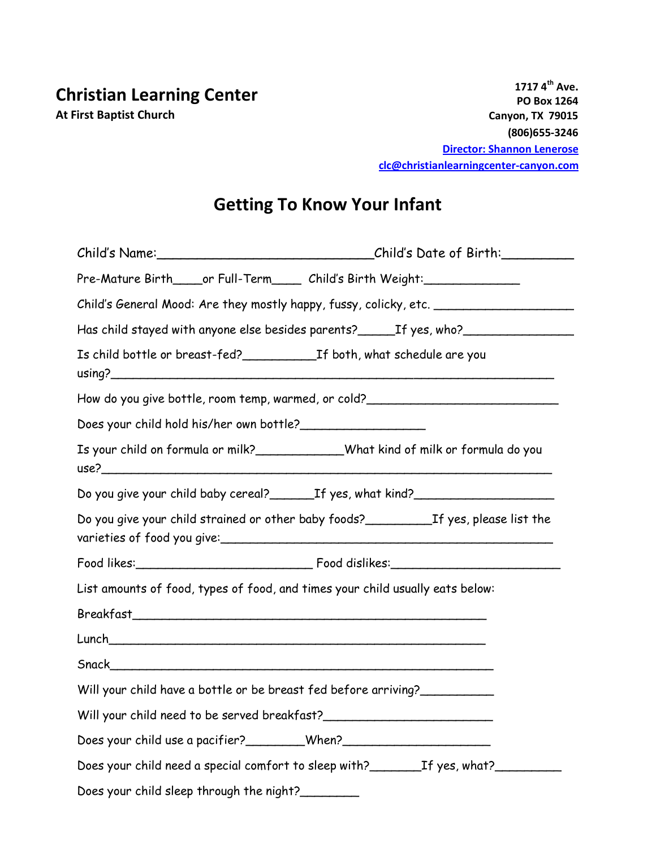**1717 4th Ave. PO Box 1264 Canyon, TX 79015 (806)655-3246 [Director:](mailto:lighthouse@fbcgville.com) Shannon Lenerose clc@christianlearningcenter-canyon.com**

## **Getting To Know Your Infant**

| Child's Name:___________________________________Child's Date of Birth:__________         |  |
|------------------------------------------------------------------------------------------|--|
| Pre-Mature Birth_____or Full-Term______ Child's Birth Weight:___________________         |  |
| Child's General Mood: Are they mostly happy, fussy, colicky, etc. _______________        |  |
| Has child stayed with anyone else besides parents? _______ If yes, who? _______________  |  |
|                                                                                          |  |
| How do you give bottle, room temp, warmed, or cold?_____________________________         |  |
| Does your child hold his/her own bottle?                                                 |  |
| Is your child on formula or milk?_____________What kind of milk or formula do you        |  |
| Do you give your child baby cereal? ________ If yes, what kind? ________________         |  |
| Do you give your child strained or other baby foods?_____________If yes, please list the |  |
|                                                                                          |  |
| List amounts of food, types of food, and times your child usually eats below:            |  |
|                                                                                          |  |
|                                                                                          |  |
|                                                                                          |  |
| Will your child have a bottle or be breast fed before arriving?                          |  |
| Will your child need to be served breakfast?                                             |  |
| Does your child use a pacifier? ________When? __________________________________         |  |
| Does your child need a special comfort to sleep with? ___________________________        |  |
| Does your child sleep through the night?_________                                        |  |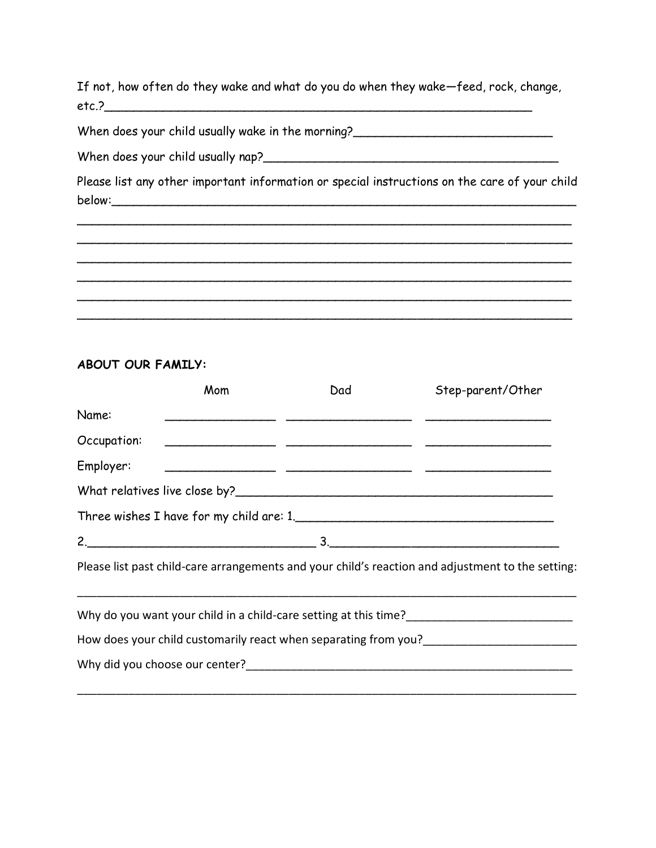If not, how often do they wake and what do you do when they wake—feed, rock, change,  $etc.$ ?

When does your child usually wake in the morning?

When does your child usually nap?\_\_\_\_\_\_\_\_\_\_\_\_\_\_\_\_\_\_\_\_\_\_\_\_\_\_\_\_\_\_\_\_\_\_\_\_\_\_\_\_

Please list any other important information or special instructions on the care of your child below:\_\_\_\_\_\_\_\_\_\_\_\_\_\_\_\_\_\_\_\_\_\_\_\_\_\_\_\_\_\_\_\_\_\_\_\_\_\_\_\_\_\_\_\_\_\_\_\_\_\_\_\_\_\_\_\_\_\_\_\_\_\_\_

 $\overline{\phantom{a}}$  $\overline{\phantom{a}}$  $\overline{\phantom{a}}$  $\overline{\phantom{a}}$ 

 $\overline{\phantom{a}}$ 

## **ABOUT OUR FAMILY:**

|             | Mom | Dad | Step-parent/Other                                                                                                                                                                |
|-------------|-----|-----|----------------------------------------------------------------------------------------------------------------------------------------------------------------------------------|
| Name:       |     |     |                                                                                                                                                                                  |
| Occupation: |     |     |                                                                                                                                                                                  |
| Employer:   |     |     |                                                                                                                                                                                  |
|             |     |     |                                                                                                                                                                                  |
|             |     |     | Three wishes I have for my child are: 1.                                                                                                                                         |
|             |     |     | $2.$ $3.$                                                                                                                                                                        |
|             |     |     | Please list past child-care arrangements and your child's reaction and adjustment to the setting:                                                                                |
|             |     |     |                                                                                                                                                                                  |
|             |     |     | How does your child customarily react when separating from you?<br>The value of the value of the value of the value of the value of the value of the value of the value of the v |
|             |     |     |                                                                                                                                                                                  |
|             |     |     |                                                                                                                                                                                  |